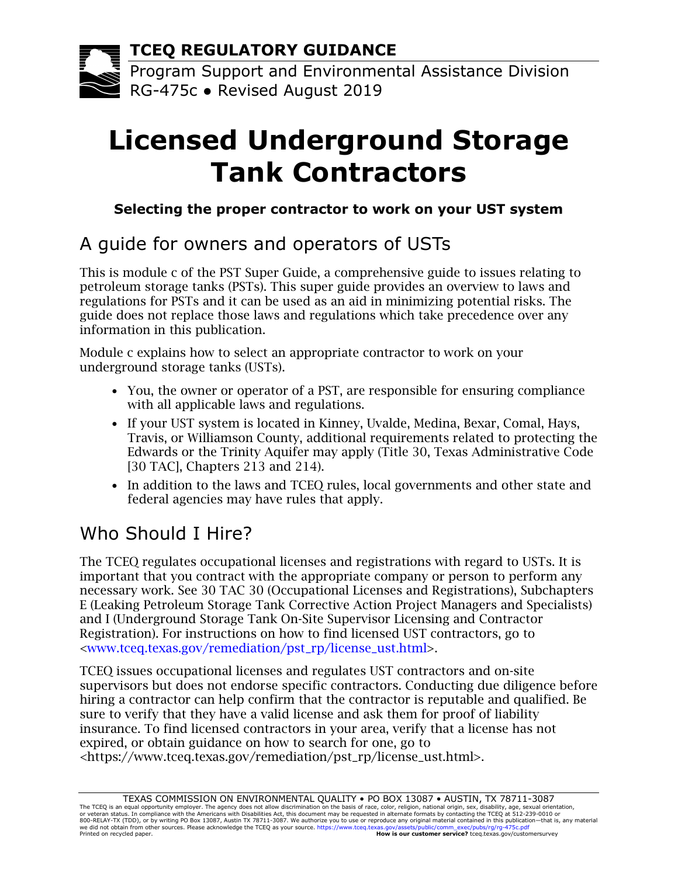**TCEQ REGULATORY GUIDANCE**

Program Support and Environmental Assistance Division RG-475c ● Revised August 2019

# **Licensed Underground Storage Tank Contractors**

#### **Selecting the proper contractor to work on your UST system**

## A guide for owners and operators of USTs

This is module c of the PST Super Guide, a comprehensive guide to issues relating to petroleum storage tanks (PSTs). This super guide provides an overview to laws and regulations for PSTs and it can be used as an aid in minimizing potential risks. The guide does not replace those laws and regulations which take precedence over any information in this publication.

Module c explains how to select an appropriate contractor to work on your underground storage tanks (USTs).

- You, the owner or operator of a PST, are responsible for ensuring compliance with all applicable laws and regulations.
- If your UST system is located in Kinney, Uvalde, Medina, Bexar, Comal, Hays, Travis, or Williamson County, additional requirements related to protecting the Edwards or the Trinity Aquifer may apply (Title 30, Texas Administrative Code [30 TAC], Chapters 213 and 214).
- In addition to the laws and TCEQ rules, local governments and other state and federal agencies may have rules that apply.

# Who Should I Hire?

The TCEQ regulates occupational licenses and registrations with regard to USTs. It is important that you contract with the appropriate company or person to perform any necessary work. See 30 TAC 30 (Occupational Licenses and Registrations), Subchapters E (Leaking Petroleum Storage Tank Corrective Action Project Managers and Specialists) and I (Underground Storage Tank On-Site Supervisor Licensing and Contractor Registration). For instructions on how to find licensed UST contractors, go to [<www.tceq.texas.gov/remediation/pst\\_rp/license\\_ust.html>](http://www.tceq.texas.gov/remediation/pst_rp/license_ust.html).

TCEQ issues occupational licenses and regulates UST contractors and on-site supervisors but does not endorse specific contractors. Conducting due diligence before hiring a contractor can help confirm that the contractor is reputable and qualified. Be sure to verify that they have a valid license and ask them for proof of liability insurance. To find licensed contractors in your area, verify that a license has not expired, or obtain guidance on how to search for one, go to <https://www.tceq.texas.gov/remediation/pst\_rp/license\_ust.html>.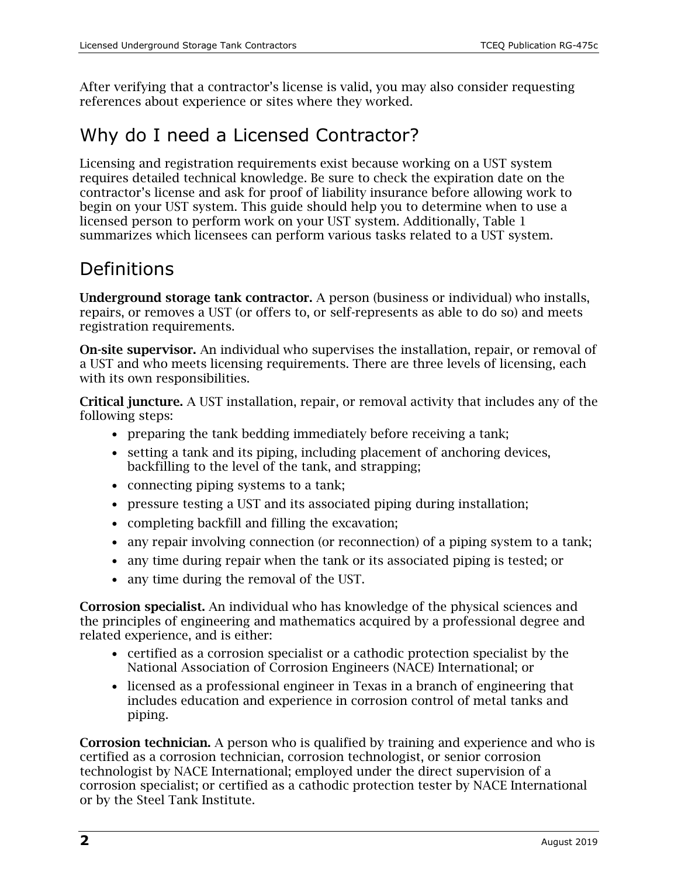After verifying that a contractor's license is valid, you may also consider requesting references about experience or sites where they worked.

#### Why do I need a Licensed Contractor?

Licensing and registration requirements exist because working on a UST system requires detailed technical knowledge. Be sure to check the expiration date on the contractor's license and ask for proof of liability insurance before allowing work to begin on your UST system. This guide should help you to determine when to use a licensed person to perform work on your UST system. Additionally, Table 1 summarizes which licensees can perform various tasks related to a UST system.

### Definitions

Underground storage tank contractor. A person (business or individual) who installs, repairs, or removes a UST (or offers to, or self-represents as able to do so) and meets registration requirements.

On-site supervisor. An individual who supervises the installation, repair, or removal of a UST and who meets licensing requirements. There are three levels of licensing, each with its own responsibilities.

Critical juncture. A UST installation, repair, or removal activity that includes any of the following steps:

- preparing the tank bedding immediately before receiving a tank;
- setting a tank and its piping, including placement of anchoring devices, backfilling to the level of the tank, and strapping;
- connecting piping systems to a tank;
- pressure testing a UST and its associated piping during installation;
- completing backfill and filling the excavation;
- any repair involving connection (or reconnection) of a piping system to a tank;
- any time during repair when the tank or its associated piping is tested; or
- any time during the removal of the UST.

Corrosion specialist. An individual who has knowledge of the physical sciences and the principles of engineering and mathematics acquired by a professional degree and related experience, and is either:

- certified as a corrosion specialist or a cathodic protection specialist by the National Association of Corrosion Engineers (NACE) International; or
- licensed as a professional engineer in Texas in a branch of engineering that includes education and experience in corrosion control of metal tanks and piping.

Corrosion technician. A person who is qualified by training and experience and who is certified as a corrosion technician, corrosion technologist, or senior corrosion technologist by NACE International; employed under the direct supervision of a corrosion specialist; or certified as a cathodic protection tester by NACE International or by the Steel Tank Institute.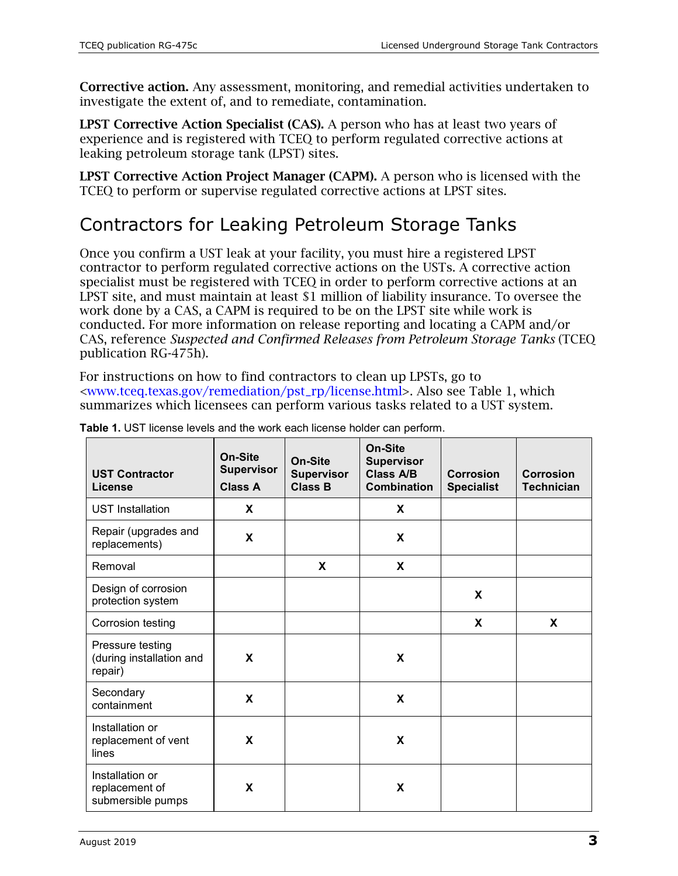Corrective action. Any assessment, monitoring, and remedial activities undertaken to investigate the extent of, and to remediate, contamination.

LPST Corrective Action Specialist (CAS). A person who has at least two years of experience and is registered with TCEQ to perform regulated corrective actions at leaking petroleum storage tank (LPST) sites.

LPST Corrective Action Project Manager (CAPM). A person who is licensed with the TCEQ to perform or supervise regulated corrective actions at LPST sites.

### Contractors for Leaking Petroleum Storage Tanks

Once you confirm a UST leak at your facility, you must hire a registered LPST contractor to perform regulated corrective actions on the USTs. A corrective action specialist must be registered with TCEQ in order to perform corrective actions at an LPST site, and must maintain at least \$1 million of liability insurance. To oversee the work done by a CAS, a CAPM is required to be on the LPST site while work is conducted. For more information on release reporting and locating a CAPM and/or CAS, reference *Suspected and Confirmed Releases from Petroleum Storage Tanks* (TCEQ publication RG-475h).

For instructions on how to find contractors to clean up LPSTs, go to [<www.tceq.texas.gov/remediation/pst\\_rp/license.html>](https://www.tceq.texas.gov/remediation/pst_rp/license.html). Also see Table 1, which summarizes which licensees can perform various tasks related to a UST system.

| <b>UST Contractor</b><br><b>License</b>                 | On-Site<br><b>Supervisor</b><br><b>Class A</b> | On-Site<br><b>Supervisor</b><br><b>Class B</b> | On-Site<br><b>Supervisor</b><br><b>Class A/B</b><br><b>Combination</b> | <b>Corrosion</b><br><b>Specialist</b> | <b>Corrosion</b><br><b>Technician</b> |
|---------------------------------------------------------|------------------------------------------------|------------------------------------------------|------------------------------------------------------------------------|---------------------------------------|---------------------------------------|
| <b>UST Installation</b>                                 | X                                              |                                                | X                                                                      |                                       |                                       |
| Repair (upgrades and<br>replacements)                   | X                                              |                                                | X                                                                      |                                       |                                       |
| Removal                                                 |                                                | X                                              | X                                                                      |                                       |                                       |
| Design of corrosion<br>protection system                |                                                |                                                |                                                                        | X                                     |                                       |
| Corrosion testing                                       |                                                |                                                |                                                                        | X                                     | X                                     |
| Pressure testing<br>(during installation and<br>repair) | X                                              |                                                | X                                                                      |                                       |                                       |
| Secondary<br>containment                                | X                                              |                                                | X                                                                      |                                       |                                       |
| Installation or<br>replacement of vent<br>lines         | X                                              |                                                | X                                                                      |                                       |                                       |
| Installation or<br>replacement of<br>submersible pumps  | X                                              |                                                | X                                                                      |                                       |                                       |

|  |  | <b>Table 1.</b> UST license levels and the work each license holder can perform. |  |
|--|--|----------------------------------------------------------------------------------|--|
|  |  |                                                                                  |  |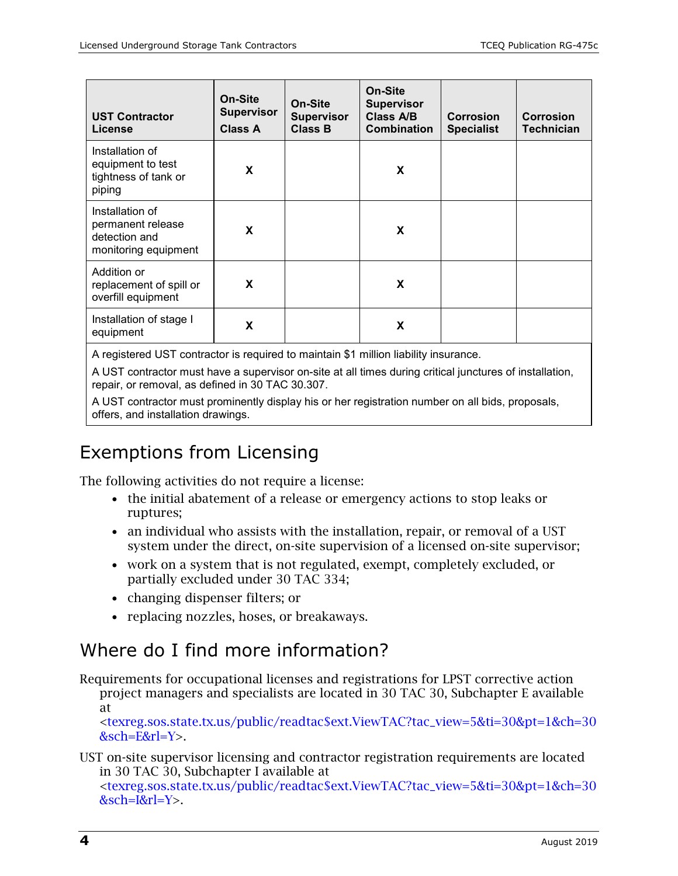| <b>UST Contractor</b><br><b>License</b>                                       | On-Site<br><b>Supervisor</b><br>Class A | On-Site<br><b>Supervisor</b><br><b>Class B</b> | On-Site<br><b>Supervisor</b><br>Class A/B<br><b>Combination</b> | <b>Corrosion</b><br><b>Specialist</b> | Corrosion<br>Technician |
|-------------------------------------------------------------------------------|-----------------------------------------|------------------------------------------------|-----------------------------------------------------------------|---------------------------------------|-------------------------|
| Installation of<br>equipment to test<br>tightness of tank or<br>piping        | X                                       |                                                | X                                                               |                                       |                         |
| Installation of<br>permanent release<br>detection and<br>monitoring equipment | X                                       |                                                | X                                                               |                                       |                         |
| Addition or<br>replacement of spill or<br>overfill equipment                  | X                                       |                                                | X                                                               |                                       |                         |
| Installation of stage I<br>equipment                                          | X                                       |                                                | X                                                               |                                       |                         |

A registered UST contractor is required to maintain \$1 million liability insurance.

A UST contractor must have a supervisor on-site at all times during critical junctures of installation, repair, or removal, as defined in 30 TAC 30.307.

A UST contractor must prominently display his or her registration number on all bids, proposals, offers, and installation drawings.

#### Exemptions from Licensing

The following activities do not require a license:

- the initial abatement of a release or emergency actions to stop leaks or ruptures;
- an individual who assists with the installation, repair, or removal of a UST system under the direct, on-site supervision of a licensed on-site supervisor;
- work on a system that is not regulated, exempt, completely excluded, or partially excluded under 30 TAC 334;
- changing dispenser filters; or
- replacing nozzles, hoses, or breakaways.

#### Where do I find more information?

Requirements for occupational licenses and registrations for LPST corrective action project managers and specialists are located in 30 TAC 30, Subchapter E available at

[<texreg.sos.state.tx.us/public/readtac\\$ext.ViewTAC?tac\\_view=5&ti=30&pt=1&ch=30](https://texreg.sos.state.tx.us/public/readtac$ext.ViewTAC?tac_view=5&ti=30&pt=1&ch=30&sch=E&rl=Y) [&sch=E&rl=Y>](https://texreg.sos.state.tx.us/public/readtac$ext.ViewTAC?tac_view=5&ti=30&pt=1&ch=30&sch=E&rl=Y).

UST on-site supervisor licensing and contractor registration requirements are located in 30 TAC 30, Subchapter I available at

[<texreg.sos.state.tx.us/public/readtac\\$ext.ViewTAC?tac\\_view=5&ti=30&pt=1&ch=30](https://texreg.sos.state.tx.us/public/readtac$ext.ViewTAC?tac_view=5&ti=30&pt=1&ch=30&sch=I&rl=Y) [&sch=I&rl=Y>](https://texreg.sos.state.tx.us/public/readtac$ext.ViewTAC?tac_view=5&ti=30&pt=1&ch=30&sch=I&rl=Y).